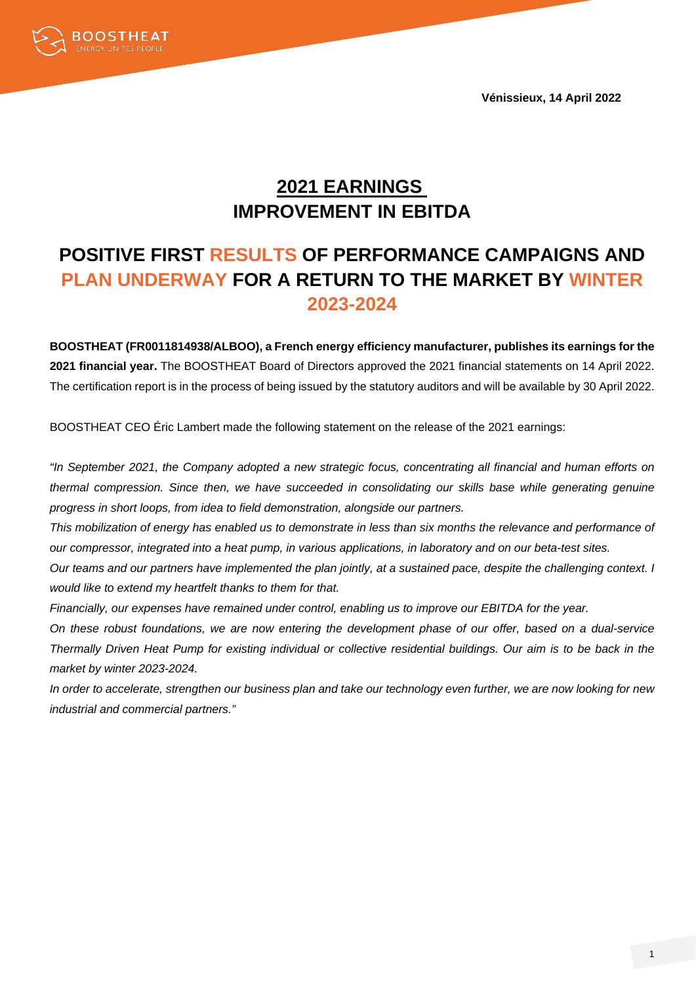**Vénissieux, 14 April 2022**



# **2021 EARNINGS IMPROVEMENT IN EBITDA**

# **POSITIVE FIRST RESULTS OF PERFORMANCE CAMPAIGNS AND PLAN UNDERWAY FOR A RETURN TO THE MARKET BY WINTER 2023-2024**

**BOOSTHEAT (FR0011814938/ALBOO), a French energy efficiency manufacturer, publishes its earnings for the 2021 financial year.** The BOOSTHEAT Board of Directors approved the 2021 financial statements on 14 April 2022. The certification report is in the process of being issued by the statutory auditors and will be available by 30 April 2022.

BOOSTHEAT CEO Éric Lambert made the following statement on the release of the 2021 earnings:

*"In September 2021, the Company adopted a new strategic focus, concentrating all financial and human efforts on thermal compression. Since then, we have succeeded in consolidating our skills base while generating genuine progress in short loops, from idea to field demonstration, alongside our partners.* 

*This mobilization of energy has enabled us to demonstrate in less than six months the relevance and performance of our compressor, integrated into a heat pump, in various applications, in laboratory and on our beta-test sites.*

*Our teams and our partners have implemented the plan jointly, at a sustained pace, despite the challenging context. I would like to extend my heartfelt thanks to them for that.*

*Financially, our expenses have remained under control, enabling us to improve our EBITDA for the year.*

*On these robust foundations, we are now entering the development phase of our offer, based on a dual-service Thermally Driven Heat Pump for existing individual or collective residential buildings. Our aim is to be back in the market by winter 2023-2024.*

*In order to accelerate, strengthen our business plan and take our technology even further, we are now looking for new industrial and commercial partners."*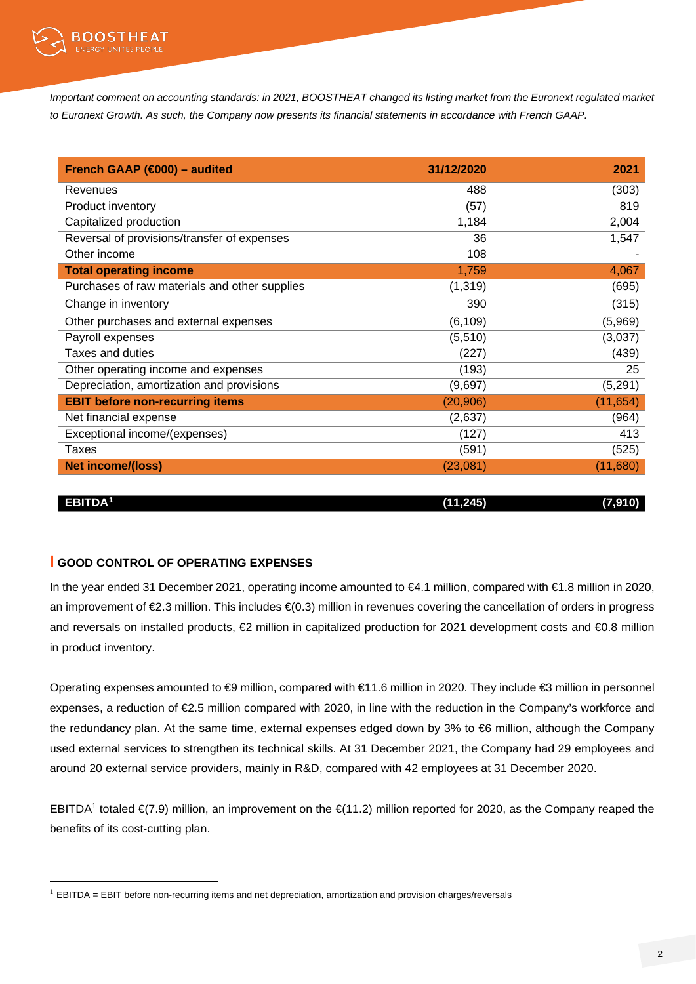

*Important comment on accounting standards: in 2021, BOOSTHEAT changed its listing market from the Euronext regulated market to Euronext Growth. As such, the Company now presents its financial statements in accordance with French GAAP.*

| French GAAP (€000) - audited                  | 31/12/2020 | 2021      |
|-----------------------------------------------|------------|-----------|
| Revenues                                      | 488        | (303)     |
| Product inventory                             | (57)       | 819       |
| Capitalized production                        | 1,184      | 2,004     |
| Reversal of provisions/transfer of expenses   | 36         | 1,547     |
| Other income                                  | 108        |           |
| <b>Total operating income</b>                 | 1,759      | 4,067     |
| Purchases of raw materials and other supplies | (1, 319)   | (695)     |
| Change in inventory                           | 390        | (315)     |
| Other purchases and external expenses         | (6, 109)   | (5,969)   |
| Payroll expenses                              | (5,510)    | (3,037)   |
| Taxes and duties                              | (227)      | (439)     |
| Other operating income and expenses           | (193)      | 25        |
| Depreciation, amortization and provisions     | (9,697)    | (5,291)   |
| <b>EBIT before non-recurring items</b>        | (20, 906)  | (11, 654) |
| Net financial expense                         | (2,637)    | (964)     |
| Exceptional income/(expenses)                 | (127)      | 413       |
| Taxes                                         | (591)      | (525)     |
| <b>Net income/(loss)</b>                      | (23,081)   | (11,680)  |

**EBITDA[1](#page-1-0) (11,245) (7,910)**

## **I GOOD CONTROL OF OPERATING EXPENSES**

In the year ended 31 December 2021, operating income amounted to €4.1 million, compared with €1.8 million in 2020, an improvement of €2.3 million. This includes €(0.3) million in revenues covering the cancellation of orders in progress and reversals on installed products,  $€2$  million in capitalized production for 2021 development costs and  $€0.8$  million in product inventory.

Operating expenses amounted to €9 million, compared with €11.6 million in 2020. They include €3 million in personnel expenses, a reduction of €2.5 million compared with 2020, in line with the reduction in the Company's workforce and the redundancy plan. At the same time, external expenses edged down by 3% to €6 million, although the Company used external services to strengthen its technical skills. At 31 December 2021, the Company had 29 employees and around 20 external service providers, mainly in R&D, compared with 42 employees at 31 December 2020.

EBITDA<sup>1</sup> totaled  $\in (7.9)$  million, an improvement on the  $\in (11.2)$  million reported for 2020, as the Company reaped the benefits of its cost-cutting plan.

<span id="page-1-0"></span> $<sup>1</sup>$  EBITDA = EBIT before non-recurring items and net depreciation, amortization and provision charges/reversals</sup>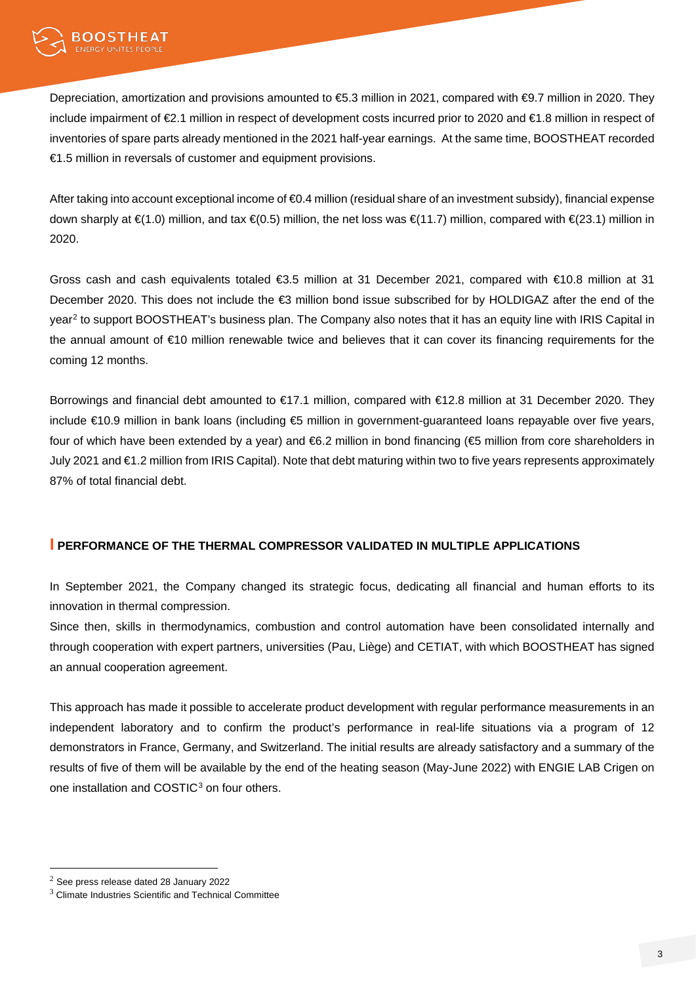

Depreciation, amortization and provisions amounted to €5.3 million in 2021, compared with €9.7 million in 2020. They include impairment of €2.1 million in respect of development costs incurred prior to 2020 and €1.8 million in respect of inventories of spare parts already mentioned in the 2021 half-year earnings. At the same time, BOOSTHEAT recorded €1.5 million in reversals of customer and equipment provisions.

After taking into account exceptional income of €0.4 million (residual share of an investment subsidy), financial expense down sharply at €(1.0) million, and tax €(0.5) million, the net loss was €(11.7) million, compared with €(23.1) million in 2020.

Gross cash and cash equivalents totaled €3.5 million at 31 December 2021, compared with €10.8 million at 31 December 2020. This does not include the €3 million bond issue subscribed for by HOLDIGAZ after the end of the year<sup>[2](#page-2-0)</sup> to support BOOSTHEAT's business plan. The Company also notes that it has an equity line with IRIS Capital in the annual amount of €10 million renewable twice and believes that it can cover its financing requirements for the coming 12 months.

Borrowings and financial debt amounted to €17.1 million, compared with €12.8 million at 31 December 2020. They include €10.9 million in bank loans (including €5 million in government-guaranteed loans repayable over five years, four of which have been extended by a year) and €6.2 million in bond financing (€5 million from core shareholders in July 2021 and €1.2 million from IRIS Capital). Note that debt maturing within two to five years represents approximately 87% of total financial debt.

## **I PERFORMANCE OF THE THERMAL COMPRESSOR VALIDATED IN MULTIPLE APPLICATIONS**

In September 2021, the Company changed its strategic focus, dedicating all financial and human efforts to its innovation in thermal compression.

Since then, skills in thermodynamics, combustion and control automation have been consolidated internally and through cooperation with expert partners, universities (Pau, Liège) and CETIAT, with which BOOSTHEAT has signed an annual cooperation agreement.

This approach has made it possible to accelerate product development with regular performance measurements in an independent laboratory and to confirm the product's performance in real-life situations via a program of 12 demonstrators in France, Germany, and Switzerland. The initial results are already satisfactory and a summary of the results of five of them will be available by the end of the heating season (May-June 2022) with ENGIE LAB Crigen on one installation and COSTIC<sup>[3](#page-2-1)</sup> on four others.

<span id="page-2-0"></span><sup>2</sup> See press release dated 28 January 2022

<span id="page-2-1"></span><sup>&</sup>lt;sup>3</sup> Climate Industries Scientific and Technical Committee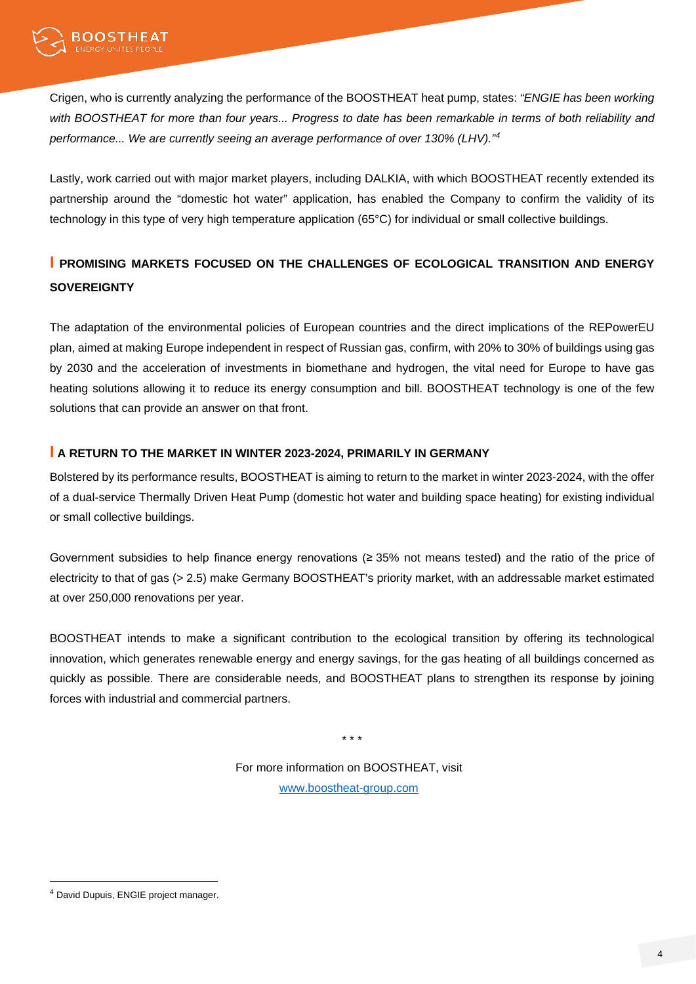Crigen, who is currently analyzing the performance of the BOOSTHEAT heat pump, states: *"ENGIE has been working with BOOSTHEAT for more than four years... Progress to date has been remarkable in terms of both reliability and performance... We are currently seeing an average performance of over 130% (LHV)."[4](#page-3-0)*

Lastly, work carried out with major market players, including DALKIA, with which BOOSTHEAT recently extended its partnership around the "domestic hot water" application, has enabled the Company to confirm the validity of its technology in this type of very high temperature application (65°C) for individual or small collective buildings.

## **I PROMISING MARKETS FOCUSED ON THE CHALLENGES OF ECOLOGICAL TRANSITION AND ENERGY SOVEREIGNTY**

The adaptation of the environmental policies of European countries and the direct implications of the REPowerEU plan, aimed at making Europe independent in respect of Russian gas, confirm, with 20% to 30% of buildings using gas by 2030 and the acceleration of investments in biomethane and hydrogen, the vital need for Europe to have gas heating solutions allowing it to reduce its energy consumption and bill. BOOSTHEAT technology is one of the few solutions that can provide an answer on that front.

## **I A RETURN TO THE MARKET IN WINTER 2023-2024, PRIMARILY IN GERMANY**

Bolstered by its performance results, BOOSTHEAT is aiming to return to the market in winter 2023-2024, with the offer of a dual-service Thermally Driven Heat Pump (domestic hot water and building space heating) for existing individual or small collective buildings.

Government subsidies to help finance energy renovations (≥ 35% not means tested) and the ratio of the price of electricity to that of gas (> 2.5) make Germany BOOSTHEAT's priority market, with an addressable market estimated at over 250,000 renovations per year.

BOOSTHEAT intends to make a significant contribution to the ecological transition by offering its technological innovation, which generates renewable energy and energy savings, for the gas heating of all buildings concerned as quickly as possible. There are considerable needs, and BOOSTHEAT plans to strengthen its response by joining forces with industrial and commercial partners.

\* \* \*

For more information on BOOSTHEAT, visit [www.boostheat-group.com](https://www.boostheat-group.com/fr/)

<span id="page-3-0"></span><sup>4</sup> David Dupuis, ENGIE project manager.